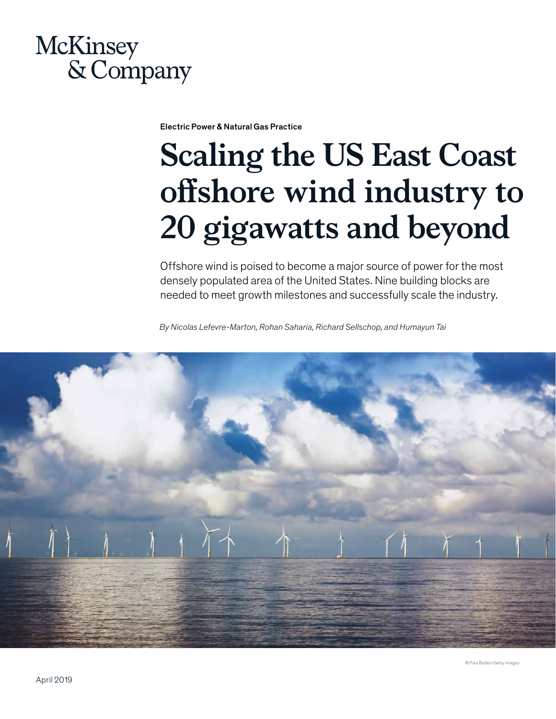## **McKinsey** & Company

Electric Power & Natural Gas Practice

# **Scaling the US East Coast offshore wind industry to 20 gigawatts and beyond**

Offshore wind is poised to become a major source of power for the most densely populated area of the United States. Nine building blocks are needed to meet growth milestones and successfully scale the industry.

*By Nicolas Lefevre-Marton, Rohan Saharia, Richard Sellschop, and Humayun Tai* 

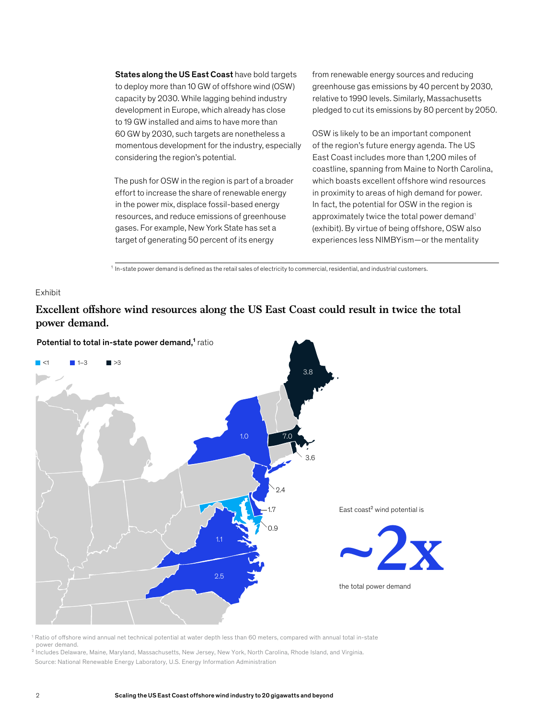States along the US East Coast have bold targets to deploy more than 10 GW of offshore wind (OSW) capacity by 2030. While lagging behind industry development in Europe, which already has close to 19 GW installed and aims to have more than 60 GW by 2030, such targets are nonetheless a momentous development for the industry, especially considering the region's potential.

The push for OSW in the region is part of a broader effort to increase the share of renewable energy in the power mix, displace fossil-based energy resources, and reduce emissions of greenhouse gases. For example, New York State has set a target of generating 50 percent of its energy

from renewable energy sources and reducing greenhouse gas emissions by 40 percent by 2030, relative to 1990 levels. Similarly, Massachusetts pledged to cut its emissions by 80 percent by 2050.

OSW is likely to be an important component of the region's future energy agenda. The US East Coast includes more than 1,200 miles of coastline, spanning from Maine to North Carolina, which boasts excellent offshore wind resources in proximity to areas of high demand for power. In fact, the potential for OSW in the region is approximately twice the total power demand<sup>1</sup> (exhibit). By virtue of being offshore, OSW also experiences less NIMBYism—or the mentality

 $1$  In-state power demand is defined as the retail sales of electricity to commercial, residential, and industrial customers.

#### Exhibit

### Excellent offshore wind resources along the US East Coast could result in twice the total **power demand.**



1 Ratio of offshore wind annual net technical potential at water depth less than 60 meters, compared with annual total in-state power demand.

² Includes Delaware, Maine, Maryland, Massachusetts, New Jersey, New York, North Carolina, Rhode Island, and Virginia. Source: National Renewable Energy Laboratory, U.S. Energy Information Administration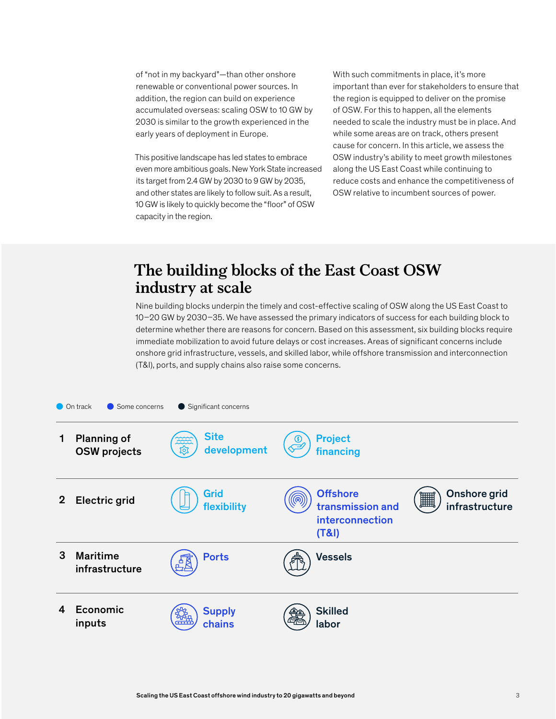of "not in my backyard"—than other onshore renewable or conventional power sources. In addition, the region can build on experience accumulated overseas: scaling OSW to 10 GW by 2030 is similar to the growth experienced in the early years of deployment in Europe.

This positive landscape has led states to embrace even more ambitious goals. New York State increased its target from 2.4 GW by 2030 to 9 GW by 2035, and other states are likely to follow suit. As a result, 10 GW is likely to quickly become the "floor" of OSW capacity in the region.

With such commitments in place, it's more important than ever for stakeholders to ensure that the region is equipped to deliver on the promise of OSW. For this to happen, all the elements needed to scale the industry must be in place. And while some areas are on track, others present cause for concern. In this article, we assess the OSW industry's ability to meet growth milestones along the US East Coast while continuing to reduce costs and enhance the competitiveness of OSW relative to incumbent sources of power.

## **The building blocks of the East Coast OSW industry at scale**

Nine building blocks underpin the timely and cost-effective scaling of OSW along the US East Coast to 10–20 GW by 2030–35. We have assessed the primary indicators of success for each building block to determine whether there are reasons for concern. Based on this assessment, six building blocks require immediate mobilization to avoid future delays or cost increases. Areas of significant concerns include onshore grid infrastructure, vessels, and skilled labor, while offshore transmission and interconnection (T&I), ports, and supply chains also raise some concerns.

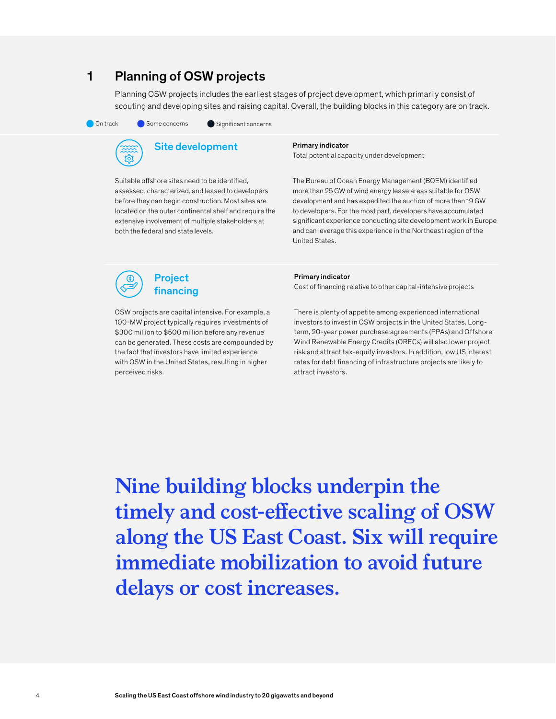## 1 Planning of OSW projects

Planning OSW projects includes the earliest stages of project development, which primarily consist of scouting and developing sites and raising capital. Overall, the building blocks in this category are on track.

On track Some concerns Significant concerns





Suitable offshore sites need to be identified, assessed, characterized, and leased to developers before they can begin construction. Most sites are located on the outer continental shelf and require the extensive involvement of multiple stakeholders at both the federal and state levels.

#### Primary indicator

Total potential capacity under development

The Bureau of Ocean Energy Management (BOEM) identified more than 25 GW of wind energy lease areas suitable for OSW development and has expedited the auction of more than 19 GW to developers. For the most part, developers have accumulated significant experience conducting site development work in Europe and can leverage this experience in the Northeast region of the United States.

Project financing

OSW projects are capital intensive. For example, a 100-MW project typically requires investments of \$300 million to \$500 million before any revenue can be generated. These costs are compounded by the fact that investors have limited experience with OSW in the United States, resulting in higher perceived risks.

#### Primary indicator

Cost of financing relative to other capital-intensive projects

There is plenty of appetite among experienced international investors to invest in OSW projects in the United States. Longterm, 20-year power purchase agreements (PPAs) and Offshore Wind Renewable Energy Credits (ORECs) will also lower project risk and attract tax-equity investors. In addition, low US interest rates for debt financing of infrastructure projects are likely to attract investors.

**Nine building blocks underpin the timely and cost-effective scaling of OSW along the US East Coast. Six will require immediate mobilization to avoid future delays or cost increases.**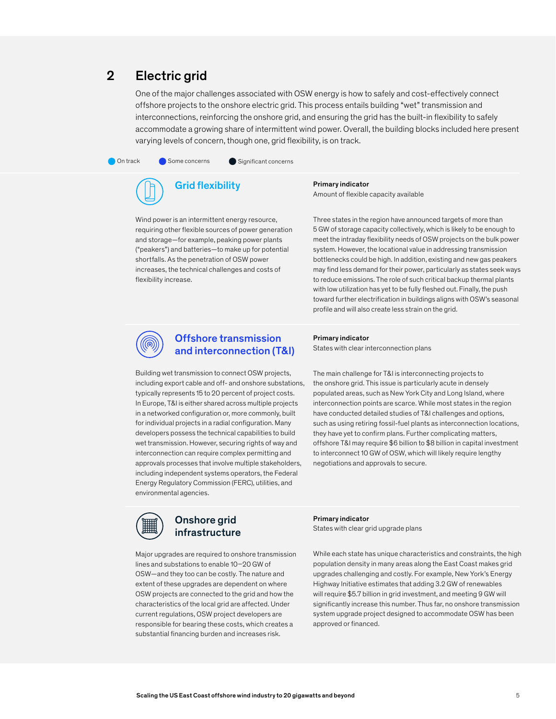## 2 Electric grid

One of the major challenges associated with OSW energy is how to safely and cost-effectively connect offshore projects to the onshore electric grid. This process entails building "wet" transmission and interconnections, reinforcing the onshore grid, and ensuring the grid has the built-in flexibility to safely accommodate a growing share of intermittent wind power. Overall, the building blocks included here present varying levels of concern, though one, grid flexibility, is on track.

On track Some concerns Significant concerns



Wind power is an intermittent energy resource, requiring other flexible sources of power generation and storage—for example, peaking power plants ("peakers") and batteries—to make up for potential shortfalls. As the penetration of OSW power increases, the technical challenges and costs of flexibility increase.

Primary indicator Amount of flexible capacity available

Three states in the region have announced targets of more than 5 GW of storage capacity collectively, which is likely to be enough to meet the intraday flexibility needs of OSW projects on the bulk power system. However, the locational value in addressing transmission bottlenecks could be high. In addition, existing and new gas peakers may find less demand for their power, particularly as states seek ways to reduce emissions. The role of such critical backup thermal plants with low utilization has yet to be fully fleshed out. Finally, the push toward further electrification in buildings aligns with OSW's seasonal profile and will also create less strain on the grid.



#### Offshore transmission and interconnection (T&I)

#### Primary indicator

States with clear interconnection plans

Building wet transmission to connect OSW projects, including export cable and off- and onshore substations, typically represents 15 to 20 percent of project costs. In Europe, T&I is either shared across multiple projects in a networked configuration or, more commonly, built for individual projects in a radial configuration. Many developers possess the technical capabilities to build wet transmission. However, securing rights of way and interconnection can require complex permitting and approvals processes that involve multiple stakeholders, including independent systems operators, the Federal Energy Regulatory Commission (FERC), utilities, and environmental agencies.

The main challenge for T&I is interconnecting projects to the onshore grid. This issue is particularly acute in densely populated areas, such as New York City and Long Island, where interconnection points are scarce. While most states in the region have conducted detailed studies of T&I challenges and options, such as using retiring fossil-fuel plants as interconnection locations, they have yet to confirm plans. Further complicating matters, offshore T&I may require \$6 billion to \$8 billion in capital investment to interconnect 10 GW of OSW, which will likely require lengthy negotiations and approvals to secure.

#### Onshore grid infrastructure

Major upgrades are required to onshore transmission lines and substations to enable 10–20 GW of OSW—and they too can be costly. The nature and extent of these upgrades are dependent on where OSW projects are connected to the grid and how the characteristics of the local grid are affected. Under current regulations, OSW project developers are responsible for bearing these costs, which creates a substantial financing burden and increases risk.

Primary indicator

States with clear grid upgrade plans

While each state has unique characteristics and constraints, the high population density in many areas along the East Coast makes grid upgrades challenging and costly. For example, New York's Energy Highway Initiative estimates that adding 3.2 GW of renewables will require \$5.7 billion in grid investment, and meeting 9 GW will significantly increase this number. Thus far, no onshore transmission system upgrade project designed to accommodate OSW has been approved or financed.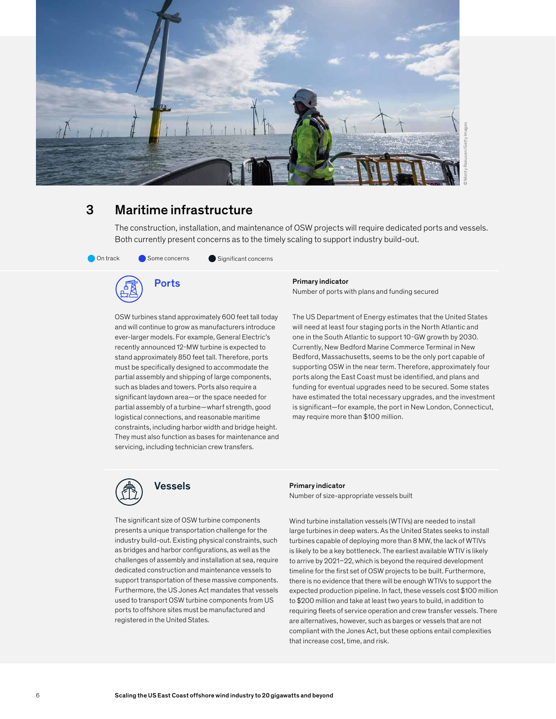

## 3 Maritime infrastructure

The construction, installation, and maintenance of OSW projects will require dedicated ports and vessels. Both currently present concerns as to the timely scaling to support industry build-out.



**Ports** 

OSW turbines stand approximately 600 feet tall today and will continue to grow as manufacturers introduce ever-larger models. For example, General Electric's recently announced 12-MW turbine is expected to stand approximately 850 feet tall. Therefore, ports must be specifically designed to accommodate the partial assembly and shipping of large components, such as blades and towers. Ports also require a significant laydown area—or the space needed for partial assembly of a turbine—wharf strength, good logistical connections, and reasonable maritime constraints, including harbor width and bridge height. They must also function as bases for maintenance and servicing, including technician crew transfers.

#### Primary indicator

Number of ports with plans and funding secured

The US Department of Energy estimates that the United States will need at least four staging ports in the North Atlantic and one in the South Atlantic to support 10-GW growth by 2030. Currently, New Bedford Marine Commerce Terminal in New Bedford, Massachusetts, seems to be the only port capable of supporting OSW in the near term. Therefore, approximately four ports along the East Coast must be identified, and plans and funding for eventual upgrades need to be secured. Some states have estimated the total necessary upgrades, and the investment is significant—for example, the port in New London, Connecticut, may require more than \$100 million.



## Vessels

The significant size of OSW turbine components presents a unique transportation challenge for the industry build-out. Existing physical constraints, such as bridges and harbor configurations, as well as the challenges of assembly and installation at sea, require dedicated construction and maintenance vessels to support transportation of these massive components. Furthermore, the US Jones Act mandates that vessels used to transport OSW turbine components from US ports to offshore sites must be manufactured and registered in the United States.

Primary indicator Number of size-appropriate vessels built

Wind turbine installation vessels (WTIVs) are needed to install large turbines in deep waters. As the United States seeks to install turbines capable of deploying more than 8 MW, the lack of WTIVs is likely to be a key bottleneck. The earliest available WTIV is likely to arrive by 2021–22, which is beyond the required development timeline for the first set of OSW projects to be built. Furthermore, there is no evidence that there will be enough WTIVs to support the expected production pipeline. In fact, these vessels cost \$100 million to \$200 million and take at least two years to build, in addition to requiring fleets of service operation and crew transfer vessels. There are alternatives, however, such as barges or vessels that are not compliant with the Jones Act, but these options entail complexities that increase cost, time, and risk.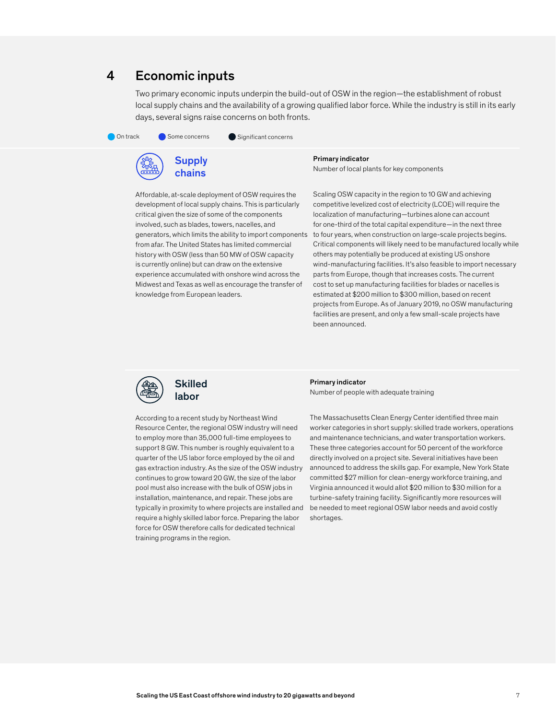## 4 Economic inputs

Two primary economic inputs underpin the build-out of OSW in the region—the establishment of robust local supply chains and the availability of a growing qualified labor force. While the industry is still in its early days, several signs raise concerns on both fronts.

On track Some concerns Significant concerns



Primary indicator

Number of local plants for key components

Affordable, at-scale deployment of OSW requires the development of local supply chains. This is particularly critical given the size of some of the components involved, such as blades, towers, nacelles, and generators, which limits the ability to import components from afar. The United States has limited commercial history with OSW (less than 50 MW of OSW capacity is currently online) but can draw on the extensive experience accumulated with onshore wind across the Midwest and Texas as well as encourage the transfer of knowledge from European leaders.

Scaling OSW capacity in the region to 10 GW and achieving competitive levelized cost of electricity (LCOE) will require the localization of manufacturing—turbines alone can account for one-third of the total capital expenditure—in the next three to four years, when construction on large-scale projects begins. Critical components will likely need to be manufactured locally while others may potentially be produced at existing US onshore wind-manufacturing facilities. It's also feasible to import necessary parts from Europe, though that increases costs. The current cost to set up manufacturing facilities for blades or nacelles is estimated at \$200 million to \$300 million, based on recent projects from Europe. As of January 2019, no OSW manufacturing facilities are present, and only a few small-scale projects have been announced.



#### Primary indicator Number of people with adequate training

According to a recent study by Northeast Wind Resource Center, the regional OSW industry will need to employ more than 35,000 full-time employees to support 8 GW. This number is roughly equivalent to a quarter of the US labor force employed by the oil and gas extraction industry. As the size of the OSW industry continues to grow toward 20 GW, the size of the labor pool must also increase with the bulk of OSW jobs in installation, maintenance, and repair. These jobs are typically in proximity to where projects are installed and require a highly skilled labor force. Preparing the labor force for OSW therefore calls for dedicated technical training programs in the region.

The Massachusetts Clean Energy Center identified three main worker categories in short supply: skilled trade workers, operations and maintenance technicians, and water transportation workers. These three categories account for 50 percent of the workforce directly involved on a project site. Several initiatives have been announced to address the skills gap. For example, New York State committed \$27 million for clean-energy workforce training, and Virginia announced it would allot \$20 million to \$30 million for a turbine-safety training facility. Significantly more resources will be needed to meet regional OSW labor needs and avoid costly shortages.